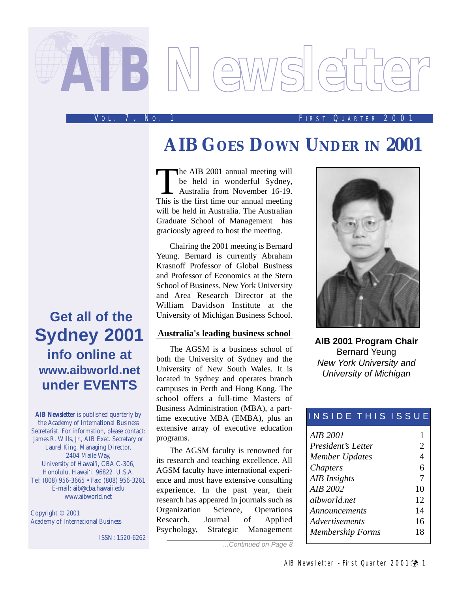# *AIB***Newsletter**

#### V O L . 7, N O . 1 F IRST Q UARTER 2001

# **AIB GOES DOWN UNDER IN 2001**

The AIB 2001 annual meeting will<br>be held in wonderful Sydney,<br>Australia from November 16-19.<br>This is the first time our annual meeting be held in wonderful Sydney, Australia from November 16-19. This is the first time our annual meeting will be held in Australia. The Australian Graduate School of Management has graciously agreed to host the meeting.

Chairing the 2001 meeting is Bernard Yeung. Bernard is currently Abraham Krasnoff Professor of Global Business and Professor of Economics at the Stern School of Business, New York University and Area Research Director at the William Davidson Institute at the University of Michigan Business School.

#### **Australia's leading business school**

The AGSM is a business school of both the University of Sydney and the University of New South Wales. It is located in Sydney and operates branch campuses in Perth and Hong Kong. The school offers a full-time Masters of Business Administration (MBA), a parttime executive MBA (EMBA), plus an extensive array of executive education programs.

The AGSM faculty is renowned for its research and teaching excellence. All AGSM faculty have international experience and most have extensive consulting experience. In the past year, their research has appeared in journals such as Organization Science, Operations Research, Journal of Applied Psychology, Strategic Management

...Continued on Page 8



**AIB 2001 Program Chair** Bernard Yeung New York University and University of Michigan

#### INSIDE THIS ISSUE

| AIB 2001                |    |
|-------------------------|----|
| President's Letter      | 2  |
| Member Updates          | 4  |
| <i>Chapters</i>         | 6  |
| <b>AIB</b> Insights     | 7  |
| AIR 2002                | 10 |
| aibworld net            | 12 |
| Announcements           | 14 |
| <i>Advertisements</i>   | 16 |
| <b>Membership Forms</b> | 18 |
|                         |    |

**Get all of the Sydney 2001 info online at www.aibworld.net under EVENTS**

*AIB Newsletter* is published quarterly by the Academy of International Business Secretariat. For information, please contact: James R. Wills, Jr., AIB Exec. Secretary or Laurel King, Managing Director, 2404 Maile Way, University of Hawai'i, CBA C-306, Honolulu, Hawai'i 96822 U.S.A. Tel: (808) 956-3665 • Fax: (808) 956-3261 E-mail: aib@cba.hawaii.edu www.aibworld.net

Copyright © 2001 Academy of International Business

ISSN: 1520-6262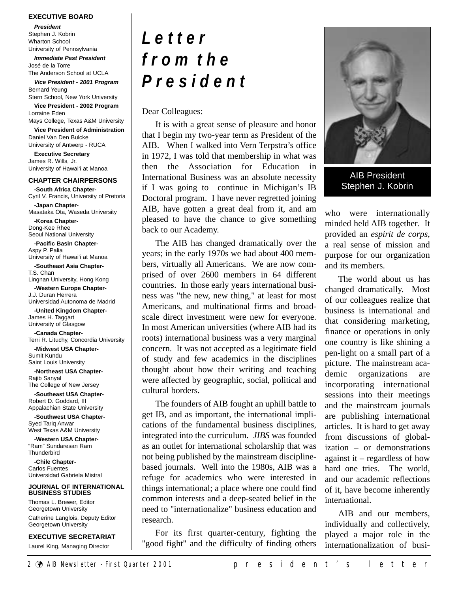#### **EXECUTIVE BOARD**

**President**

Stephen J. Kobrin Wharton School University of Pennsylvania

**Immediate Past President** José de la Torre The Anderson School at UCLA

**Vice President - 2001 Program** Bernard Yeung Stern School, New York University

**Vice President - 2002 Program** Lorraine Eden Mays College, Texas A&M University

**Vice President of Administration** Daniel Van Den Bulcke University of Antwerp - RUCA

**Executive Secretary** James R. Wills, Jr. University of Hawai'i at Manoa

#### **CHAPTER CHAIRPERSONS**

**-South Africa Chapter-**Cyril V. Francis, University of Pretoria **-Japan Chapter-**Masataka Ota, Waseda University **-Korea Chapter-**Dong-Kee Rhee Seoul National University **-Pacific Basin Chapter-**Aspy P. Palia University of Hawai'i at Manoa **-Southeast Asia Chapter-**T.S. Chan Lingnan University, Hong Kong **-Western Europe Chapter-**J.J. Duran Herrera Universidad Autonoma de Madrid

**-United Kingdom Chapter-**James H. Taggart University of Glasgow

**-Canada Chapter-**Terri R. Lituchy, Concordia University

**-Midwest USA Chapter-**Sumit Kundu Saint Louis University

**-Northeast USA Chapter-**Rajib Sanyal The College of New Jersey

**-Southeast USA Chapter-**Robert D. Goddard, III Appalachian State University

**-Southwest USA Chapter-**Syed Tariq Anwar West Texas A&M University

**-Western USA Chapter-** "Ram" Sundaresan Ram **Thunderbird** 

**-Chile Chapter-**Carlos Fuentes Universidad Gabriela Mistral

#### **JOURNAL OF INTERNATIONAL BUSINESS STUDIES**

Thomas L. Brewer, Editor Georgetown University Catherine Langlois, Deputy Editor Georgetown University

**EXECUTIVE SECRETARIAT**

Laurel King, Managing Director

# *L e t t e r f r o m t h e P r e s i d e n t*

Dear Colleagues:

It is with a great sense of pleasure and honor that I begin my two-year term as President of the AIB. When I walked into Vern Terpstra's office in 1972, I was told that membership in what was then the Association for Education in International Business was an absolute necessity if I was going to continue in Michigan's IB Doctoral program. I have never regretted joining AIB, have gotten a great deal from it, and am pleased to have the chance to give something back to our Academy.

The AIB has changed dramatically over the years; in the early 1970s we had about 400 members, virtually all Americans. We are now comprised of over 2600 members in 64 different countries. In those early years international business was "the new, new thing," at least for most Americans, and multinational firms and broadscale direct investment were new for everyone. In most American universities (where AIB had its roots) international business was a very marginal concern. It was not accepted as a legitimate field of study and few academics in the disciplines thought about how their writing and teaching were affected by geographic, social, political and cultural borders.

The founders of AIB fought an uphill battle to get IB, and as important, the international implications of the fundamental business disciplines, integrated into the curriculum. *JIBS* was founded as an outlet for international scholarship that was not being published by the mainstream disciplinebased journals. Well into the 1980s, AIB was a refuge for academics who were interested in things international; a place where one could find common interests and a deep-seated belief in the need to "internationalize" business education and research.

For its first quarter-century, fighting the "good fight" and the difficulty of finding others



AIB President Stephen J. Kobrin

who were internationally minded held AIB together. It provided an *espirit de corps*, a real sense of mission and purpose for our organization and its members.

The world about us has changed dramatically. Most of our colleagues realize that business is international and that considering marketing, finance or operations in only one country is like shining a pen-light on a small part of a picture. The mainstream academic organizations are incorporating international sessions into their meetings and the mainstream journals are publishing international articles. It is hard to get away from discussions of globalization – or demonstrations against it – regardless of how hard one tries. The world, and our academic reflections of it, have become inherently international.

AIB and our members, individually and collectively, played a major role in the internationalization of busi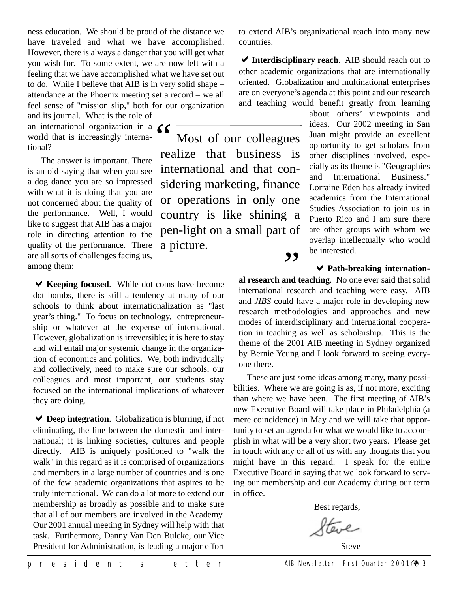ness education. We should be proud of the distance we have traveled and what we have accomplished. However, there is always a danger that you will get what you wish for. To some extent, we are now left with a feeling that we have accomplished what we have set out to do. While I believe that AIB is in very solid shape – attendance at the Phoenix meeting set a record – we all feel sense of "mission slip," both for our organization

and its journal. What is the role of an international organization in a  $\bigcup_{n=1}^{\infty}$  world that is increasingly international? world that is increasingly international?

The answer is important. There is an old saying that when you see a dog dance you are so impressed with what it is doing that you are not concerned about the quality of the performance. Well, I would like to suggest that AIB has a major role in directing attention to the quality of the performance. There are all sorts of challenges facing us, among them:

**★ Keeping focused.** While dot coms have become dot bombs, there is still a tendency at many of our schools to think about internationalization as "last year's thing." To focus on technology, entrepreneurship or whatever at the expense of international. However, globalization is irreversible; it is here to stay and will entail major systemic change in the organization of economics and politics. We, both individually and collectively, need to make sure our schools, our colleagues and most important, our students stay focused on the international implications of whatever they are doing.

◆ **Deep integration**. Globalization is blurring, if not eliminating, the line between the domestic and international; it is linking societies, cultures and people directly. AIB is uniquely positioned to "walk the walk" in this regard as it is comprised of organizations and members in a large number of countries and is one of the few academic organizations that aspires to be truly international. We can do a lot more to extend our membership as broadly as possible and to make sure that all of our members are involved in the Academy. Our 2001 annual meeting in Sydney will help with that task. Furthermore, Danny Van Den Bulcke, our Vice President for Administration, is leading a major effort

to extend AIB's organizational reach into many new countries.

◆ Interdisciplinary reach. AIB should reach out to other academic organizations that are internationally oriented. Globalization and multinational enterprises are on everyone's agenda at this point and our research and teaching would benefit greatly from learning

Most of our colleagues realize that business is international and that considering marketing, finance or operations in only one country is like shining a pen-light on a small part of a picture.

about others' viewpoints and ideas. Our 2002 meeting in San Juan might provide an excellent opportunity to get scholars from other disciplines involved, especially as its theme is "Geographies and International Business." Lorraine Eden has already invited academics from the International Studies Association to join us in Puerto Rico and I am sure there are other groups with whom we overlap intellectually who would be interested.

#### **★ Path-breaking internation-**

**al research and teaching**. No one ever said that solid international research and teaching were easy. AIB and *JIBS* could have a major role in developing new research methodologies and approaches and new modes of interdisciplinary and international cooperation in teaching as well as scholarship. This is the theme of the 2001 AIB meeting in Sydney organized by Bernie Yeung and I look forward to seeing everyone there.

,,

These are just some ideas among many, many possibilities. Where we are going is as, if not more, exciting than where we have been. The first meeting of AIB's new Executive Board will take place in Philadelphia (a mere coincidence) in May and we will take that opportunity to set an agenda for what we would like to accomplish in what will be a very short two years. Please get in touch with any or all of us with any thoughts that you might have in this regard. I speak for the entire Executive Board in saying that we look forward to serving our membership and our Academy during our term in office.

Best regards,

teve

Steve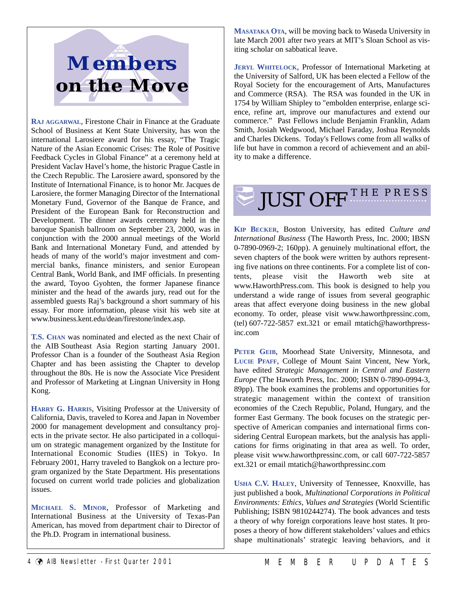

**RAJ AGGARWAL**, Firestone Chair in Finance at the Graduate School of Business at Kent State University, has won the international Larosiere award for his essay, "The Tragic Nature of the Asian Economic Crises: The Role of Positive Feedback Cycles in Global Finance" at a ceremony held at President Vaclav Havel's home, the historic Prague Castle in the Czech Republic. The Larosiere award, sponsored by the Institute of International Finance, is to honor Mr. Jacques de Larosiere, the former Managing Director of the International Monetary Fund, Governor of the Banque de France, and President of the European Bank for Reconstruction and Development. The dinner awards ceremony held in the baroque Spanish ballroom on September 23, 2000, was in conjunction with the 2000 annual meetings of the World Bank and International Monetary Fund, and attended by heads of many of the world's major investment and commercial banks, finance ministers, and senior European Central Bank, World Bank, and IMF officials. In presenting the award, Toyoo Gyohten, the former Japanese finance minister and the head of the awards jury, read out for the assembled guests Raj's background a short summary of his essay. For more information, please visit his web site at www.business.kent.edu/dean/firestone/index.asp.

**T.S. CHAN** was nominated and elected as the next Chair of the AIB Southeast Asia Region starting January 2001. Professor Chan is a founder of the Southeast Asia Region Chapter and has been assisting the Chapter to develop throughout the 80s. He is now the Associate Vice President and Professor of Marketing at Lingnan University in Hong Kong.

**HARRY G. HARRIS**, Visiting Professor at the University of California, Davis, traveled to Korea and Japan in November 2000 for management development and consultancy projects in the private sector. He also participated in a colloquium on strategic management organized by the Institute for International Economic Studies (IIES) in Tokyo. In February 2001, Harry traveled to Bangkok on a lecture program organized by the State Department. His presentations focused on current world trade policies and globalization issues.

**MICHAEL S. MINOR**, Professor of Marketing and International Business at the University of Texas-Pan American, has moved from department chair to Director of the Ph.D. Program in international business.

**MASATAKA OTA**, will be moving back to Waseda University in late March 2001 after two years at MIT's Sloan School as visiting scholar on sabbatical leave.

**JERYL WHITELOCK**, Professor of International Marketing at the University of Salford, UK has been elected a Fellow of the Royal Society for the encouragement of Arts, Manufactures and Commerce (RSA). The RSA was founded in the UK in 1754 by William Shipley to "embolden enterprise, enlarge science, refine art, improve our manufactures and extend our commerce." Past Fellows include Benjamin Franklin, Adam Smith, Josiah Wedgwood, Michael Faraday, Joshua Reynolds and Charles Dickens. Today's Fellows come from all walks of life but have in common a record of achievement and an ability to make a difference.

# **JUST OFF THE PRESS**

**KIP BECKER**, Boston University, has edited *Culture and International Business* (The Haworth Press, Inc. 2000; IBSN 0-7890-0969-2; 160pp). A genuinely multinational effort, the seven chapters of the book were written by authors representing five nations on three continents. For a complete list of contents, please visit the Haworth web site at www.HaworthPress.com. This book is designed to help you understand a wide range of issues from several geographic areas that affect everyone doing business in the new global economy. To order, please visit www.haworthpressinc.com, (tel) 607-722-5857 ext.321 or email mtatich@haworthpressinc.com

**PETER GEIB**, Moorhead State University, Minnesota, and **LUCIE PFAFF**, College of Mount Saint Vincent, New York, have edited *Strategic Management in Central and Eastern Europe* (The Haworth Press, Inc. 2000; ISBN 0-7890-0994-3, 89pp). The book examines the problems and opportunities for strategic management within the context of transition economies of the Czech Republic, Poland, Hungary, and the former East Germany. The book focuses on the strategic perspective of American companies and international firms considering Central European markets, but the analysis has applications for firms originating in that area as well. To order, please visit www.haworthpressinc.com, or call 607-722-5857 ext.321 or email mtatich@haworthpressinc.com

**USHA C.V. HALEY**, University of Tennessee, Knoxville, has just published a book, *Multinational Corporations in Political Environments: Ethics, Values and Strategies* (World Scientific Publishing; ISBN 9810244274). The book advances and tests a theory of why foreign corporations leave host states. It proposes a theory of how different stakeholders' values and ethics shape multinationals' strategic leaving behaviors, and it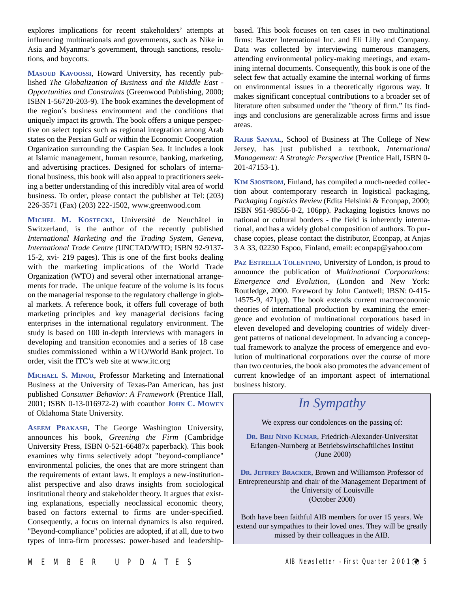explores implications for recent stakeholders' attempts at influencing multinationals and governments, such as Nike in Asia and Myanmar's government, through sanctions, resolutions, and boycotts.

**MASOUD KAVOOSSI**, Howard University, has recently published *The Globalization of Business and the Middle East - Opportunities and Constraints* (Greenwood Publishing, 2000; ISBN 1-56720-203-9). The book examines the development of the region's business environment and the conditions that uniquely impact its growth. The book offers a unique perspective on select topics such as regional integration among Arab states on the Persian Gulf or within the Economic Cooperation Organization surrounding the Caspian Sea. It includes a look at Islamic management, human resource, banking, marketing, and advertising practices. Designed for scholars of international business, this book will also appeal to practitioners seeking a better understanding of this incredibly vital area of world business. To order, please contact the publisher at Tel: (203) 226-3571 (Fax) (203) 222-1502, www.greenwood.com

**MICHEL M. KOSTECKI**, Université de Neuchâtel in Switzerland, is the author of the recently published *International Marketing and the Trading System, Geneva, International Trade Centre (*UNCTAD/WTO; ISBN 92-9137- 15-2, xvi- 219 pages). This is one of the first books dealing with the marketing implications of the World Trade Organization (WTO) and several other international arrangements for trade. The unique feature of the volume is its focus on the managerial response to the regulatory challenge in global markets. A reference book, it offers full coverage of both marketing principles and key managerial decisions facing enterprises in the international regulatory environment. The study is based on 100 in-depth interviews with managers in developing and transition economies and a series of 18 case studies commissioned within a WTO/World Bank project. To order, visit the ITC's web site at www.itc.org

**MICHAEL S. MINOR**, Professor Marketing and International Business at the University of Texas-Pan American, has just published *Consumer Behavior: A Framework* (Prentice Hall, 2001; ISBN 0-13-016972-2) with coauthor **JOHN C. MOWEN** of Oklahoma State University.

**ASEEM PRAKASH**, The George Washington University, announces his book, *Greening the Firm* (Cambridge University Press, ISBN 0-521-66487x paperback). This book examines why firms selectively adopt "beyond-compliance" environmental policies, the ones that are more stringent than the requirements of extant laws. It employs a new-institutionalist perspective and also draws insights from sociological institutional theory and stakeholder theory. It argues that existing explanations, especially neoclassical economic theory, based on factors external to firms are under-specified. Consequently, a focus on internal dynamics is also required. "Beyond-compliance" policies are adopted, if at all, due to two types of intra-firm processes: power-based and leadershipbased. This book focuses on ten cases in two multinational firms: Baxter International Inc. and Eli Lilly and Company. Data was collected by interviewing numerous managers, attending environmental policy-making meetings, and examining internal documents. Consequently, this book is one of the select few that actually examine the internal working of firms on environmental issues in a theoretically rigorous way. It makes significant conceptual contributions to a broader set of literature often subsumed under the "theory of firm." Its findings and conclusions are generalizable across firms and issue areas.

**RAJIB SANYAL**, School of Business at The College of New Jersey, has just published a textbook, *International Management: A Strategic Perspective* (Prentice Hall, ISBN 0- 201-47153-1).

**KIM SJOSTROM**, Finland, has compiled a much-needed collection about contemporary research in logistical packaging, *Packaging Logistics Review* (Edita Helsinki & Econpap, 2000; ISBN 951-98556-0-2, 106pp). Packaging logistics knows no national or cultural borders - the field is inherently international, and has a widely global composition of authors. To purchase copies, please contact the distributor, Econpap, at Anjas 3 A 33, 02230 Espoo, Finland, email: econpap@yahoo.com

**PAZ ESTRELLA TOLENTINO**, University of London, is proud to announce the publication of *Multinational Corporations: Emergence and Evolution*, (London and New York: Routledge, 2000. Foreword by John Cantwell; IBSN: 0-415- 14575-9, 471pp). The book extends current macroeconomic theories of international production by examining the emergence and evolution of multinational corporations based in eleven developed and developing countries of widely divergent patterns of national development. In advancing a conceptual framework to analyze the process of emergence and evolution of multinational corporations over the course of more than two centuries, the book also promotes the advancement of current knowledge of an important aspect of international business history.

*In Sympathy*

We express our condolences on the passing of:

**DR. BRIJ NINO KUMAR**, Friedrich-Alexander-Universitat Erlangen-Nurnberg at Betriebswirtschaftliches Institut (June 2000)

**DR. JEFFREY BRACKER**, Brown and Williamson Professor of Entrepreneurship and chair of the Management Department of the University of Louisville (October 2000)

Both have been faithful AIB members for over 15 years. We extend our sympathies to their loved ones. They will be greatly missed by their colleagues in the AIB.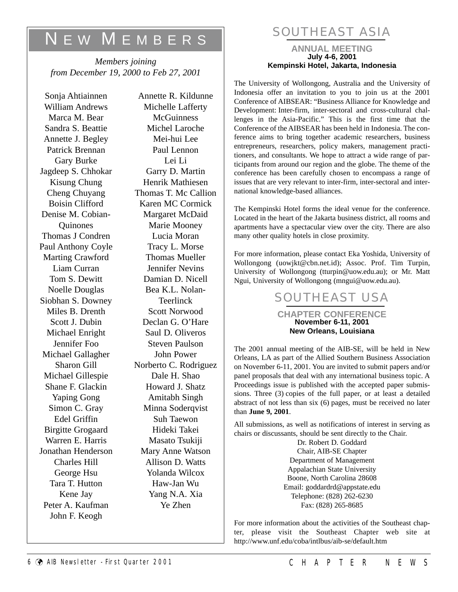# N E W M EMBERS

*Members joining from December 19, 2000 to Feb 27, 2001*

Sonja Ahtiainnen William Andrews Marca M. Bear Sandra S. Beattie Annette J. Begley Patrick Brennan Gary Burke Jagdeep S. Chhokar Kisung Chung Cheng Chuyang Boisin Clifford Denise M. Cobian-**Ouinones** Thomas J Condren Paul Anthony Coyle Marting Crawford Liam Curran Tom S. Dewitt Noelle Douglas Siobhan S. Downey Miles B. Drenth Scott J. Dubin Michael Enright Jennifer Foo Michael Gallagher Sharon Gill Michael Gillespie Shane F. Glackin Yaping Gong Simon C. Gray Edel Griffin Birgitte Grogaard Warren E. Harris Jonathan Henderson Charles Hill George Hsu Tara T. Hutton Kene Jay Peter A. Kaufman John F. Keogh

Annette R. Kildunne Michelle Lafferty **McGuinness** Michel Laroche Mei-hui Lee Paul Lennon Lei Li Garry D. Martin Henrik Mathiesen Thomas T. Mc Callion Karen MC Cormick Margaret McDaid Marie Mooney Lucia Moran Tracy L. Morse Thomas Mueller Jennifer Nevins Damian D. Nicell Bea K.L. Nolan-**Teerlinck** Scott Norwood Declan G. O'Hare Saul D. Oliveros Steven Paulson John Power Norberto C. Rodriguez Dale H. Shao Howard J. Shatz Amitabh Singh Minna Soderqvist Suh Taewon Hideki Takei Masato Tsukiji Mary Anne Watson Allison D. Watts Yolanda Wilcox Haw-Jan Wu Yang N.A. Xia Ye Zhen

## SOUTHEAST ASIA

#### **ANNUAL MEETING July 4-6, 2001 Kempinski Hotel, Jakarta, Indonesia**

The University of Wollongong, Australia and the University of Indonesia offer an invitation to you to join us at the 2001 Conference of AIBSEAR: "Business Alliance for Knowledge and Development: Inter-firm, inter-sectoral and cross-cultural challenges in the Asia-Pacific." This is the first time that the Conference of the AIBSEAR has been held in Indonesia. The conference aims to bring together academic researchers, business entrepreneurs, researchers, policy makers, management practitioners, and consultants. We hope to attract a wide range of participants from around our region and the globe. The theme of the conference has been carefully chosen to encompass a range of issues that are very relevant to inter-firm, inter-sectoral and international knowledge-based alliances.

The Kempinski Hotel forms the ideal venue for the conference. Located in the heart of the Jakarta business district, all rooms and apartments have a spectacular view over the city. There are also many other quality hotels in close proximity.

For more information, please contact Eka Yoshida, University of Wollongong (uowjkt@cbn.net.id); Assoc. Prof. Tim Turpin, University of Wollongong (tturpin@uow.edu.au); or Mr. Matt Ngui, University of Wollongong (mngui@uow.edu.au).



The 2001 annual meeting of the AIB-SE, will be held in New Orleans, LA as part of the Allied Southern Business Association on November 6-11, 2001. You are invited to submit papers and/or panel proposals that deal with any international business topic. A Proceedings issue is published with the accepted paper submissions. Three (3) copies of the full paper, or at least a detailed abstract of not less than six (6) pages, must be received no later than **June 9, 2001**.

All submissions, as well as notifications of interest in serving as chairs or discussants, should be sent directly to the Chair.

> Dr. Robert D. Goddard Chair, AIB-SE Chapter Department of Management Appalachian State University Boone, North Carolina 28608 Email: goddardrd@appstate.edu Telephone: (828) 262-6230 Fax: (828) 265-8685

For more information about the activities of the Southeast chapter, please visit the Southeast Chapter web site at http://www.unf.edu/coba/intlbus/aib-se/default.htm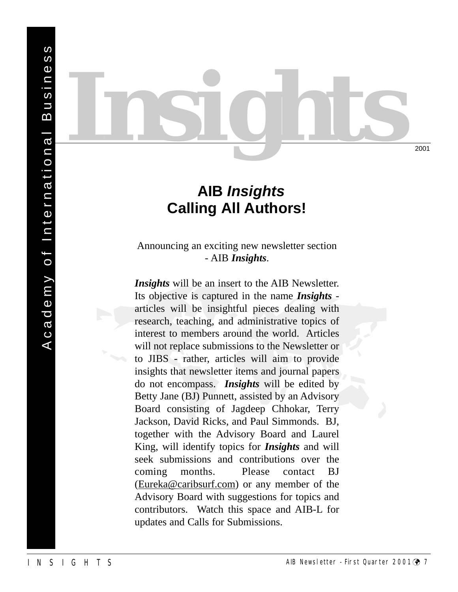# **AIB** *Insights* **Calling All Authors!**

*Insights*

#### Announcing an exciting new newsletter section - AIB *Insights*.

- AIB *Insights*.<br>
Insights will be an insert to the AIB Newsletter.<br>
Its objective is captured in the name *Insights*<br>
articles will be insightful pieces dealing with<br>
research, teaching, and administrative topics of<br>
int *Insights* will be an insert to the AIB Newsletter. Its objective is captured in the name *Insights* articles will be insightful pieces dealing with research, teaching, and administrative topics of interest to members around the world. Articles will not replace submissions to the Newsletter or to JIBS - rather, articles will aim to provide insights that newsletter items and journal papers do not encompass. *Insights* will be edited by Betty Jane (BJ) Punnett, assisted by an Advisory Board consisting of Jagdeep Chhokar, Terry Jackson, David Ricks, and Paul Simmonds. BJ, together with the Advisory Board and Laurel King, will identify topics for *Insights* and will seek submissions and contributions over the coming months. Please contact BJ (Eureka@caribsurf.com) or any member of the Advisory Board with suggestions for topics and contributors. Watch this space and AIB-L for updates and Calls for Submissions.

2001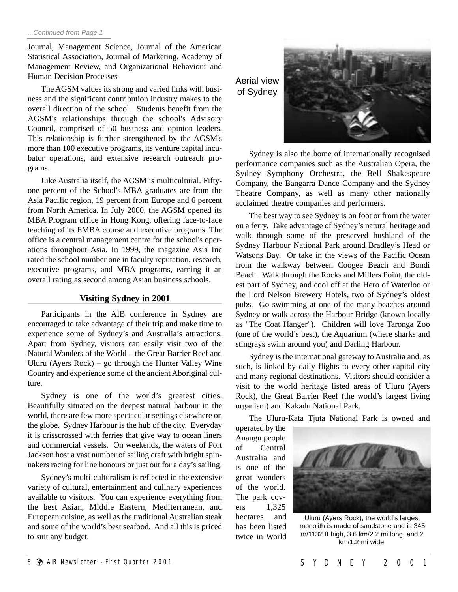#### ...Continued from Page 1

Journal, Management Science, Journal of the American Statistical Association, Journal of Marketing, Academy of Management Review, and Organizational Behaviour and Human Decision Processes

The AGSM values its strong and varied links with business and the significant contribution industry makes to the overall direction of the school. Students benefit from the AGSM's relationships through the school's Advisory Council, comprised of 50 business and opinion leaders. This relationship is further strengthened by the AGSM's more than 100 executive programs, its venture capital incubator operations, and extensive research outreach programs.

Like Australia itself, the AGSM is multicultural. Fiftyone percent of the School's MBA graduates are from the Asia Pacific region, 19 percent from Europe and 6 percent from North America. In July 2000, the AGSM opened its MBA Program office in Hong Kong, offering face-to-face teaching of its EMBA course and executive programs. The office is a central management centre for the school's operations throughout Asia. In 1999, the magazine Asia Inc rated the school number one in faculty reputation, research, executive programs, and MBA programs, earning it an overall rating as second among Asian business schools.

#### **Visiting Sydney in 2001**

Participants in the AIB conference in Sydney are encouraged to take advantage of their trip and make time to experience some of Sydney's and Australia's attractions. Apart from Sydney, visitors can easily visit two of the Natural Wonders of the World – the Great Barrier Reef and Uluru (Ayers Rock) – go through the Hunter Valley Wine Country and experience some of the ancient Aboriginal culture.

Sydney is one of the world's greatest cities. Beautifully situated on the deepest natural harbour in the world, there are few more spectacular settings elsewhere on the globe. Sydney Harbour is the hub of the city. Everyday it is crisscrossed with ferries that give way to ocean liners and commercial vessels. On weekends, the waters of Port Jackson host a vast number of sailing craft with bright spinnakers racing for line honours or just out for a day's sailing.

Sydney's multi-culturalism is reflected in the extensive variety of cultural, entertainment and culinary experiences available to visitors. You can experience everything from the best Asian, Middle Eastern, Mediterranean, and European cuisine, as well as the traditional Australian steak and some of the world's best seafood. And all this is priced to suit any budget.

Aerial view of Sydney



Sydney is also the home of internationally recognised performance companies such as the Australian Opera, the Sydney Symphony Orchestra, the Bell Shakespeare Company, the Bangarra Dance Company and the Sydney Theatre Company, as well as many other nationally acclaimed theatre companies and performers.

The best way to see Sydney is on foot or from the water on a ferry. Take advantage of Sydney's natural heritage and walk through some of the preserved bushland of the Sydney Harbour National Park around Bradley's Head or Watsons Bay. Or take in the views of the Pacific Ocean from the walkway between Coogee Beach and Bondi Beach. Walk through the Rocks and Millers Point, the oldest part of Sydney, and cool off at the Hero of Waterloo or the Lord Nelson Brewery Hotels, two of Sydney's oldest pubs. Go swimming at one of the many beaches around Sydney or walk across the Harbour Bridge (known locally as "The Coat Hanger"). Children will love Taronga Zoo (one of the world's best), the Aquarium (where sharks and stingrays swim around you) and Darling Harbour.

Sydney is the international gateway to Australia and, as such, is linked by daily flights to every other capital city and many regional destinations. Visitors should consider a visit to the world heritage listed areas of Uluru (Ayers Rock), the Great Barrier Reef (the world's largest living organism) and Kakadu National Park.

The Uluru-Kata Tjuta National Park is owned and

operated by the Anangu people of Central Australia and is one of the great wonders of the world. The park covers 1,325 hectares and has been listed twice in World



Uluru (Ayers Rock), the world's largest monolith is made of sandstone and is 345 m/1132 ft high, 3.6 km/2.2 mi long, and 2 km/1.2 mi wide.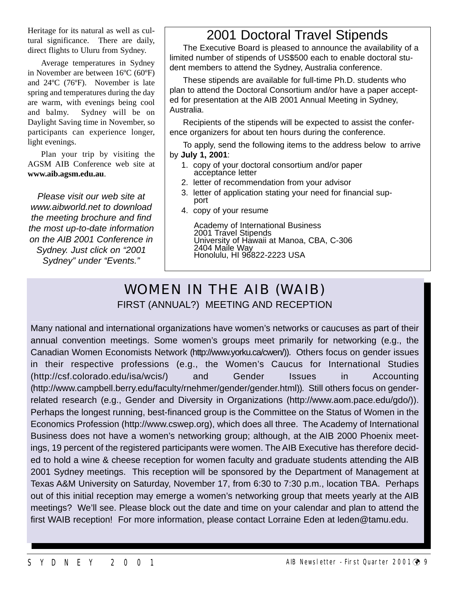Heritage for its natural as well as cultural significance. There are daily, direct flights to Uluru from Sydney.

Average temperatures in Sydney in November are between 16ºC (60ºF) and 24ºC (76ºF). November is late spring and temperatures during the day are warm, with evenings being cool and balmy. Sydney will be on Daylight Saving time in November, so participants can experience longer, light evenings.

Plan your trip by visiting the AGSM AIB Conference web site at **www.aib.agsm.edu.au**.

Please visit our web site at www.aibworld.net to download the meeting brochure and find the most up-to-date information on the AIB 2001 Conference in Sydney. Just click on "2001 Sydney" under "Events."

## 2001 Doctoral Travel Stipends

The Executive Board is pleased to announce the availability of a limited number of stipends of US\$500 each to enable doctoral student members to attend the Sydney, Australia conference.

These stipends are available for full-time Ph.D. students who plan to attend the Doctoral Consortium and/or have a paper accepted for presentation at the AIB 2001 Annual Meeting in Sydney, Australia.

Recipients of the stipends will be expected to assist the conference organizers for about ten hours during the conference.

To apply, send the following items to the address below to arrive by **July 1, 2001**:

- 1. copy of your doctoral consortium and/or paper acceptance letter
- 2. letter of recommendation from your advisor
- 3. letter of application stating your need for financial support
- 4. copy of your resume

Academy of International Business 2001 Travel Stipends University of Hawaii at Manoa, CBA, C-306 2404 Maile Way Honolulu, HI 96822-2223 USA

## WOMEN IN THE AIB (WAIB) FIRST (ANNUAL?) MEETING AND RECEPTION

Many national and international organizations have women's networks or caucuses as part of their annual convention meetings. Some women's groups meet primarily for networking (e.g., the Canadian Women Economists Network (http://www.yorku.ca/cwen/)). Others focus on gender issues in their respective professions (e.g., the Women's Caucus for International Studies (http://csf.colorado.edu/isa/wcis/) and Gender Issues in Accounting (http://www.campbell.berry.edu/faculty/rnehmer/gender/gender.html)). Still others focus on genderrelated research (e.g., Gender and Diversity in Organizations (http://www.aom.pace.edu/gdo/)). Perhaps the longest running, best-financed group is the Committee on the Status of Women in the Economics Profession (http://www.cswep.org), which does all three. The Academy of International Business does not have a women's networking group; although, at the AIB 2000 Phoenix meetings, 19 percent of the registered participants were women. The AIB Executive has therefore decided to hold a wine & cheese reception for women faculty and graduate students attending the AIB 2001 Sydney meetings. This reception will be sponsored by the Department of Management at Texas A&M University on Saturday, November 17, from 6:30 to 7:30 p.m., location TBA. Perhaps out of this initial reception may emerge a women's networking group that meets yearly at the AIB meetings? We'll see. Please block out the date and time on your calendar and plan to attend the first WAIB reception! For more information, please contact Lorraine Eden at leden@tamu.edu.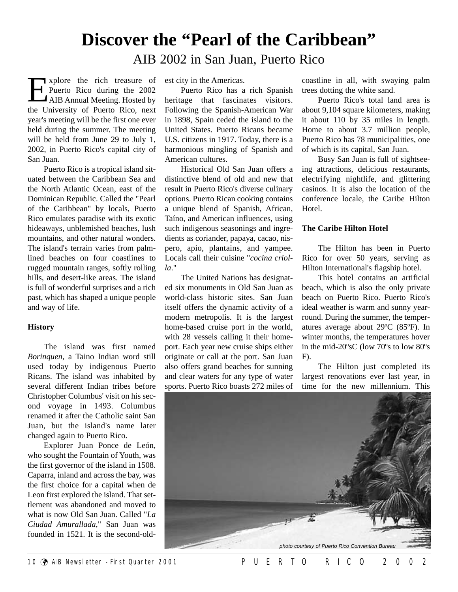# **Discover the "Pearl of the Caribbean"**

AIB 2002 in San Juan, Puerto Rico

vert xplore the rich treasure of Puerto Rico during the 2002 AIB Annual Meeting. Hosted by **Explore the rich treasure of**<br>Puerto Rico during the 2002<br>AIB Annual Meeting. Hosted by<br>the University of Puerto Rico, next year's meeting will be the first one ever held during the summer. The meeting will be held from June 29 to July 1, 2002, in Puerto Rico's capital city of San Juan.

Puerto Rico is a tropical island situated between the Caribbean Sea and the North Atlantic Ocean, east of the Dominican Republic. Called the "Pearl of the Caribbean" by locals, Puerto Rico emulates paradise with its exotic hideaways, unblemished beaches, lush mountains, and other natural wonders. The island's terrain varies from palmlined beaches on four coastlines to rugged mountain ranges, softly rolling hills, and desert-like areas. The island is full of wonderful surprises and a rich past, which has shaped a unique people and way of life.

#### **History**

The island was first named *Borinquen*, a Taino Indian word still used today by indigenous Puerto Ricans. The island was inhabited by several different Indian tribes before Christopher Columbus' visit on his second voyage in 1493. Columbus renamed it after the Catholic saint San Juan, but the island's name later changed again to Puerto Rico.

Explorer Juan Ponce de León, who sought the Fountain of Youth, was the first governor of the island in 1508. Caparra, inland and across the bay, was the first choice for a capital when de Leon first explored the island. That settlement was abandoned and moved to what is now Old San Juan. Called "*La Ciudad Amurallada*," San Juan was founded in 1521. It is the second-oldest city in the Americas.

Puerto Rico has a rich Spanish heritage that fascinates visitors. Following the Spanish-American War in 1898, Spain ceded the island to the United States. Puerto Ricans became U.S. citizens in 1917. Today, there is a harmonious mingling of Spanish and American cultures.

Historical Old San Juan offers a distinctive blend of old and new that result in Puerto Rico's diverse culinary options. Puerto Rican cooking contains a unique blend of Spanish, African, Taíno, and American influences, using such indigenous seasonings and ingredients as coriander, papaya, cacao, nispero, apio, plantains, and yampee. Locals call their cuisine "*cocina criolla*."

The United Nations has designated six monuments in Old San Juan as world-class historic sites. San Juan itself offers the dynamic activity of a modern metropolis. It is the largest home-based cruise port in the world, with 28 vessels calling it their homeport. Each year new cruise ships either originate or call at the port. San Juan also offers grand beaches for sunning and clear waters for any type of water sports. Puerto Rico boasts 272 miles of coastline in all, with swaying palm trees dotting the white sand.

Puerto Rico's total land area is about 9,104 square kilometers, making it about 110 by 35 miles in length. Home to about 3.7 million people, Puerto Rico has 78 municipalities, one of which is its capital, San Juan.

Busy San Juan is full of sightseeing attractions, delicious restaurants, electrifying nightlife, and glittering casinos. It is also the location of the conference locale, the Caribe Hilton Hotel.

#### **The Caribe Hilton Hotel**

The Hilton has been in Puerto Rico for over 50 years, serving as Hilton International's flagship hotel.

This hotel contains an artificial beach, which is also the only private beach on Puerto Rico. Puerto Rico's ideal weather is warm and sunny yearround. During the summer, the temperatures average about 29ºC (85ºF). In winter months, the temperatures hover in the mid-20ºsC (low 70ºs to low 80ºs  $F$ ).

The Hilton just completed its largest renovations ever last year, in time for the new millennium. This

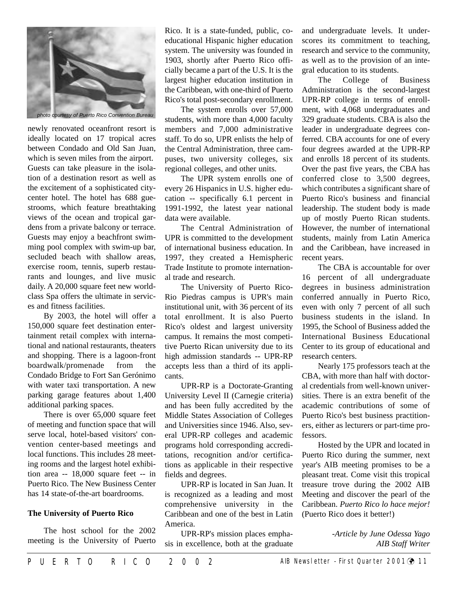

newly renovated oceanfront resort is ideally located on 17 tropical acres between Condado and Old San Juan, which is seven miles from the airport. Guests can take pleasure in the isolation of a destination resort as well as the excitement of a sophisticated citycenter hotel. The hotel has 688 guestrooms, which feature breathtaking views of the ocean and tropical gardens from a private balcony or terrace. Guests may enjoy a beachfront swimming pool complex with swim-up bar, secluded beach with shallow areas, exercise room, tennis, superb restaurants and lounges, and live music daily. A 20,000 square feet new worldclass Spa offers the ultimate in services and fitness facilities.

By 2003, the hotel will offer a 150,000 square feet destination entertainment retail complex with international and national restaurants, theaters and shopping. There is a lagoon-front boardwalk/promenade from the Condado Bridge to Fort San Gerónimo with water taxi transportation. A new parking garage features about 1,400 additional parking spaces.

There is over 65,000 square feet of meeting and function space that will serve local, hotel-based visitors' convention center-based meetings and local functions. This includes 28 meeting rooms and the largest hotel exhibition area -- 18,000 square feet -- in Puerto Rico. The New Business Center has 14 state-of-the-art boardrooms.

#### **The University of Puerto Rico**

The host school for the 2002 meeting is the University of Puerto Rico. It is a state-funded, public, coeducational Hispanic higher education system. The university was founded in 1903, shortly after Puerto Rico officially became a part of the U.S. It is the largest higher education institution in the Caribbean, with one-third of Puerto Rico's total post-secondary enrollment.

The system enrolls over 57,000 students, with more than 4,000 faculty members and 7,000 administrative staff. To do so, UPR enlists the help of the Central Administration, three campuses, two university colleges, six regional colleges, and other units.

The UPR system enrolls one of every 26 Hispanics in U.S. higher education -- specifically 6.1 percent in 1991-1992, the latest year national data were available.

The Central Administration of UPR is committed to the development of international business education. In 1997, they created a Hemispheric Trade Institute to promote international trade and research.

The University of Puerto Rico-Rio Piedras campus is UPR's main institutional unit, with 36 percent of its total enrollment. It is also Puerto Rico's oldest and largest university campus. It remains the most competitive Puerto Rican university due to its high admission standards -- UPR-RP accepts less than a third of its applicants.

UPR-RP is a Doctorate-Granting University Level II (Carnegie criteria) and has been fully accredited by the Middle States Association of Colleges and Universities since 1946. Also, several UPR-RP colleges and academic programs hold corresponding accreditations, recognition and/or certifications as applicable in their respective fields and degrees.

UPR-RP is located in San Juan. It is recognized as a leading and most comprehensive university in the Caribbean and one of the best in Latin America.

UPR-RP's mission places emphasis in excellence, both at the graduate and undergraduate levels. It underscores its commitment to teaching, research and service to the community, as well as to the provision of an integral education to its students.

The College of Business Administration is the second-largest UPR-RP college in terms of enrollment, with 4,068 undergraduates and 329 graduate students. CBA is also the leader in undergraduate degrees conferred. CBA accounts for one of every four degrees awarded at the UPR-RP and enrolls 18 percent of its students. Over the past five years, the CBA has conferred close to 3,500 degrees, which contributes a significant share of Puerto Rico's business and financial leadership. The student body is made up of mostly Puerto Rican students. However, the number of international students, mainly from Latin America and the Caribbean, have increased in recent years.

The CBA is accountable for over 16 percent of all undergraduate degrees in business administration conferred annually in Puerto Rico, even with only 7 percent of all such business students in the island. In 1995, the School of Business added the International Business Educational Center to its group of educational and research centers.

Nearly 175 professors teach at the CBA, with more than half with doctoral credentials from well-known universities. There is an extra benefit of the academic contributions of some of Puerto Rico's best business practitioners, either as lecturers or part-time professors.

Hosted by the UPR and located in Puerto Rico during the summer, next year's AIB meeting promises to be a pleasant treat. Come visit this tropical treasure trove during the 2002 AIB Meeting and discover the pearl of the Caribbean. *Puerto Rico lo hace mejor!* (Puerto Rico does it better!)

> -*Article by June Odessa Yago AIB Staff Writer*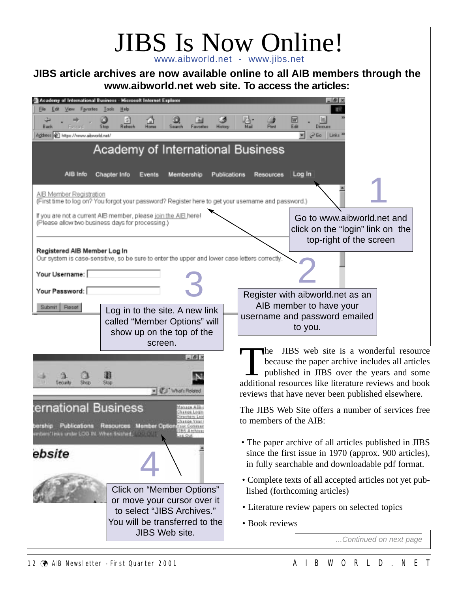| www.aibworld.net web site. To access the articles:                                                                                                                                                                                                                                                       | <b>JIBS Is Now Online!</b><br>www.aibworld.net - www.jibs.net<br>JIBS article archives are now available online to all AIB members through the                                                                                                                                                                                                                                                                |
|----------------------------------------------------------------------------------------------------------------------------------------------------------------------------------------------------------------------------------------------------------------------------------------------------------|---------------------------------------------------------------------------------------------------------------------------------------------------------------------------------------------------------------------------------------------------------------------------------------------------------------------------------------------------------------------------------------------------------------|
| Academy of International Business - Microsoft Internet Explorer<br>View Favorites<br>Tools<br>Edit<br>Help<br>Еŵ<br>圍<br>⋒<br>九<br>Refresh<br>Back<br>Stop<br>Search<br>Horse<br>Favoritez<br>History<br>Address (2) https://www.aibworld.net/<br>Academy of International Business                      | w<br>Edit<br>Mail<br>Pint<br>Dirrum<br>Go Links <sup>x</sup>                                                                                                                                                                                                                                                                                                                                                  |
| AIB Info<br>Chapter Info<br>Membership<br>Events<br>AIB Member Registration<br>(First time to log on? You forgot your password? Register here to get your usemame and password.)<br>If you are not a current AIB member, please join the AIB here<br>(Please allow two business days for processing.)    | Log In<br>Publications<br><b>Resources</b><br>Go to www.aibworld.net and<br>click on the "login" link on the                                                                                                                                                                                                                                                                                                  |
| Registered AIB Member Log In<br>Our system is case-sensitive, so be sure to enter the upper and lower case letters correctly.<br>Your Username:<br>Your Password: [<br>Submit   Reset<br>Log in to the site. A new link<br>called "Member Options" will<br>show up on the top of the<br>screen.<br>$-6x$ | top-right of the screen<br>Register with aibworld.net as an<br>AIB member to have your<br>username and password emailed<br>to you.<br>JIBS web site is a wonderful resource<br><b>The</b><br>because the paper archive includes all articles                                                                                                                                                                  |
| Stap<br><b>Georgia</b><br>+ CJ What Related<br>ternational Business<br>Publications<br><b>Resources Member Options</b><br>ershin<br>mbers' links under LOG PL When finished.<br>ebsite                                                                                                                   | published in JIBS over the years and some<br>additional resources like literature reviews and book<br>reviews that have never been published elsewhere.<br>The JIBS Web Site offers a number of services free<br>to members of the AIB:<br>• The paper archive of all articles published in JIBS<br>since the first issue in 1970 (approx. 900 articles),<br>in fully searchable and downloadable pdf format. |
| Click on "Member Options"<br>or move your cursor over it<br>to select "JIBS Archives."<br>You will be transferred to the<br>JIBS Web site.                                                                                                                                                               | • Complete texts of all accepted articles not yet pub-<br>lished (forthcoming articles)<br>• Literature review papers on selected topics<br>• Book reviews<br>Continued on next page                                                                                                                                                                                                                          |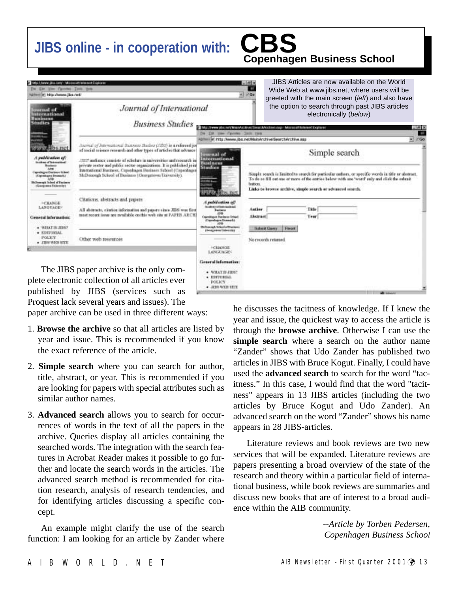# **JIBS online - in cooperation with: CBS**

# **Copenhagen Business School**

| Mo. Here alle and - Missocalt blackof Stokers<br>De Ein une Canness India tank                                                                                                                                  |                                                                                                                                                                                                                                                                                                                                                                                                                  |                                                                                                                                                                                                                                                                                                   | $= 40$                                                                                                                         | JIBS Articles are now available on the World<br>Wide Web at www.jibs.net, where users will be |        |  |
|-----------------------------------------------------------------------------------------------------------------------------------------------------------------------------------------------------------------|------------------------------------------------------------------------------------------------------------------------------------------------------------------------------------------------------------------------------------------------------------------------------------------------------------------------------------------------------------------------------------------------------------------|---------------------------------------------------------------------------------------------------------------------------------------------------------------------------------------------------------------------------------------------------------------------------------------------------|--------------------------------------------------------------------------------------------------------------------------------|-----------------------------------------------------------------------------------------------|--------|--|
| User adjustment; citer (willensity)<br>uarmal of<br>International<br><b>Business</b><br><b>Studies</b>                                                                                                          | Journal of International<br><b>Business Studies</b>                                                                                                                                                                                                                                                                                                                                                              | $x = 0$                                                                                                                                                                                                                                                                                           | greeted with the main screen (left) and also have<br>the option to search through past JIBS articles<br>electronically (below) |                                                                                               |        |  |
|                                                                                                                                                                                                                 |                                                                                                                                                                                                                                                                                                                                                                                                                  | De Els Hee Fannes Inch row                                                                                                                                                                                                                                                                        |                                                                                                                                | This Jimmi jos anthias Act of the clave of an anti-<br>州区<br>×                                |        |  |
| This mathewalkees in<br>Institute of Textural Insti-<br><b>Bashketin</b><br>Caprolingva Electronic School<br>(Cigardages Dessach)<br><b>ADO</b><br><b>Hichannah School of Variance</b><br>tilesegamen Externier | Animal of Jaternational Business Burber (1992) is a referred to<br>of social science research and other types of articles that advasce<br>2007 authency consists of scholars in universities and research in<br>private sector and public sector organizations. It is published joint<br>International Business, Cupenhagen Business School (Copenhagen<br>McDonough School of Business (Georgetown University). | Rommi lei http://www.jiba.net/Main/inshive/Search/inshive.app<br>Simple search<br>menal of<br>International<br>Business                                                                                                                                                                           |                                                                                                                                |                                                                                               | $r$ Go |  |
|                                                                                                                                                                                                                 |                                                                                                                                                                                                                                                                                                                                                                                                                  | <b>Studies</b><br>Simple search is limited to search for particular outlors, or specific words in title or abstract.<br>To do as fill out one or neare of the entries below with one 'word' only and click the exhault<br>lighters.<br>Links to browne archive, simple search or advanced search. |                                                                                                                                |                                                                                               |        |  |
| $+$ CHANGE<br><b>LANGUAGE:</b><br>General Information:                                                                                                                                                          | Citations, abstracts and papers<br>All shitracts, citation information and papers vices JIES was first<br>must recent issue are available on this web site at PAPEB, AECHI                                                                                                                                                                                                                                       | A publication of<br><b>Rock as of Samegalined</b><br>Bashkesin<br>8,516<br>Caprolitazio Etazionio School<br>(Ciproduces Deams 6.)                                                                                                                                                                 | Author<br>Abstract                                                                                                             | Title<br>Year                                                                                 |        |  |
| · WILLE B JIDE?<br>· ESTIMAL<br><b>POLICY</b><br>$\bullet$ THE WEE ETT.                                                                                                                                         | Other web recources                                                                                                                                                                                                                                                                                                                                                                                              | <b>Hichannyh School of Wassers</b><br>tivezzone listerritti<br>$+$ CHANGE                                                                                                                                                                                                                         | Flexit<br><b>Subwar Gaints</b><br>No records retorned                                                                          |                                                                                               |        |  |
|                                                                                                                                                                                                                 | The JIBS paper archive is the only com-<br>plete electronic collection of all articles ever                                                                                                                                                                                                                                                                                                                      | LANGUAGE:<br>General information:<br>· WILLT IN JIDN?<br>* EDITIBILAL<br>POLICY<br>a J7100 WYOS STOR                                                                                                                                                                                              |                                                                                                                                |                                                                                               |        |  |

published by JIBS (services such as Proquest lack several years and issues). The

paper archive can be used in three different ways:

- 1. **Browse the archive** so that all articles are listed by year and issue. This is recommended if you know the exact reference of the article.
- 2. **Simple search** where you can search for author, title, abstract, or year. This is recommended if you are looking for papers with special attributes such as similar author names.
- 3. **Advanced search** allows you to search for occurrences of words in the text of all the papers in the archive. Queries display all articles containing the searched words. The integration with the search features in Acrobat Reader makes it possible to go further and locate the search words in the articles. The advanced search method is recommended for citation research, analysis of research tendencies, and for identifying articles discussing a specific concept.

An example might clarify the use of the search function: I am looking for an article by Zander where

he discusses the tacitness of knowledge. If I knew the year and issue, the quickest way to access the article is through the **browse archive**. Otherwise I can use the **simple search** where a search on the author name "Zander" shows that Udo Zander has published two articles in JIBS with Bruce Kogut. Finally, I could have used the **advanced search** to search for the word "tacitness." In this case, I would find that the word "tacitness" appears in 13 JIBS articles (including the two articles by Bruce Kogut and Udo Zander). An advanced search on the word "Zander" shows his name appears in 28 JIBS-articles.

Literature reviews and book reviews are two new services that will be expanded. Literature reviews are papers presenting a broad overview of the state of the research and theory within a particular field of international business, while book reviews are summaries and discuss new books that are of interest to a broad audience within the AIB community.

> *--Article by Torben Pedersen, Copenhagen Business School*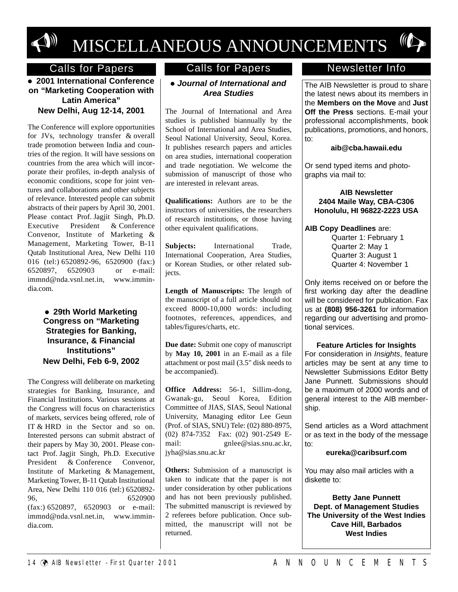

# MISCELLANEOUS ANNOUNCEMENTS

#### ' **2001 International Conference on "Marketing Cooperation with Latin America" New Delhi, Aug 12-14, 2001**

The Conference will explore opportunities for JVs, technology transfer & overall trade promotion between India and countries of the region. It will have sessions on countries from the area which will incorporate their profiles, in-depth analysis of economic conditions, scope for joint ventures and collaborations and other subjects of relevance. Interested people can submit abstracts of their papers by April 30, 2001. Please contact Prof. Jagjit Singh, Ph.D. Executive President & Conference Convenor, Institute of Marketing & Management, Marketing Tower, B-11 Qutab Institutional Area, New Delhi 110 016 (tel:) 6520892-96, 6520900 (fax:) 6520897, 6520903 or e-mail: immnd@nda.vsnl.net.in, www.immindia.com.

> • 29th World Marketing **Congress on "Marketing Strategies for Banking, Insurance, & Financial Institutions" New Delhi, Feb 6-9, 2002**

The Congress will deliberate on marketing strategies for Banking, Insurance, and Financial Institutions. Various sessions at the Congress will focus on characteristics of markets, services being offered, role of IT & HRD in the Sector and so on. Interested persons can submit abstract of their papers by May 30, 2001. Please contact Prof. Jagjit Singh, Ph.D. Executive President & Conference Convenor, Institute of Marketing & Management, Marketing Tower, B-11 Qutab Institutional Area, New Delhi 110 016 (tel:) 6520892- 96, 6520900 (fax:) 6520897, 6520903 or e-mail: immnd@nda.vsnl.net.in, www.immindia.com.

### Calls for Papers Calls for Papers

#### ' *Journal of International and Area Studies*

The Journal of International and Area studies is published biannually by the School of International and Area Studies, Seoul National University, Seoul, Korea. It publishes research papers and articles on area studies, international cooperation and trade negotiation. We welcome the submission of manuscript of those who are interested in relevant areas.

**Qualifications:** Authors are to be the instructors of universities, the researchers of research institutions, or those having other equivalent qualifications.

**Subjects:** International Trade, International Cooperation, Area Studies, or Korean Studies, or other related subjects.

**Length of Manuscripts:** The length of the manuscript of a full article should not exceed 8000-10,000 words: including footnotes, references, appendices, and tables/figures/charts, etc.

**Due date:** Submit one copy of manuscript by **May 10, 2001** in an E-mail as a file attachment or post mail (3.5" disk needs to be accompanied).

**Office Address:** 56-1, Sillim-dong, Gwanak-gu, Seoul Korea, Edition Committee of JIAS, SIAS, Seoul National University, Managing editor Lee Geun (Prof. of SIAS, SNU) Tele: (02) 880-8975, (02) 874-7352 Fax: (02) 901-2549 E-<br>mail: enlee@sias.snu.ac.kr.  $gnlee@sias.nu.ac.kr,$ jyha@sias.snu.ac.kr

**Others:** Submission of a manuscript is taken to indicate that the paper is not under consideration by other publications and has not been previously published. The submitted manuscript is reviewed by 2 referees before publication. Once submitted, the manuscript will not be returned.

#### Newsletter Info

The AIB Newsletter is proud to share the latest news about its members in the **Members on the Move** and **Just Off the Press** sections. E-mail your professional accomplishments, book publications, promotions, and honors, to:

#### **aib@cba.hawaii.edu**

Or send typed items and photographs via mail to:

**AIB Newsletter 2404 Maile Way, CBA-C306 Honolulu, HI 96822-2223 USA**

#### **AIB Copy Deadlines** are:

Quarter 1: February 1 Quarter 2: May 1 Quarter 3: August 1 Quarter 4: November 1

Only items received on or before the first working day after the deadline will be considered for publication. Fax us at **(808) 956-3261** for information regarding our advertising and promotional services.

#### **Feature Articles for Insights**

For consideration in Insights, feature articles may be sent at any time to Newsletter Submissions Editor Betty Jane Punnett. Submissions should be a maximum of 2000 words and of general interest to the AIB membership.

Send articles as a Word attachment or as text in the body of the message to:

#### **eureka@caribsurf.com**

You may also mail articles with a diskette to:

**Betty Jane Punnett Dept. of Management Studies The University of the West Indies Cave Hill, Barbados West Indies**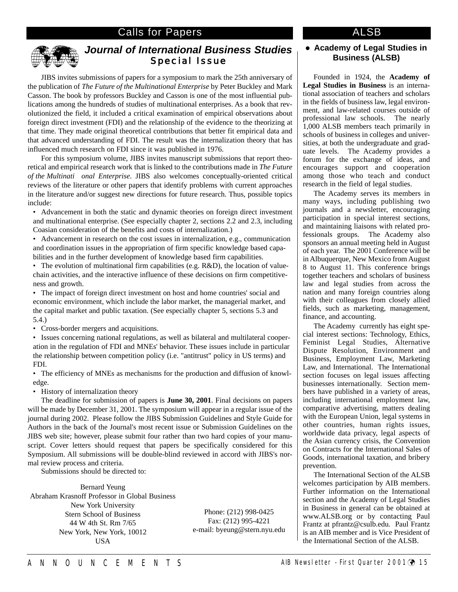#### Calls for Papers **ALSB**



#### *Journal of International Business Studies*  Special Issue

JIBS invites submissions of papers for a symposium to mark the 25th anniversary of the publication of *The Future of the Multinational Enterprise* by Peter Buckley and Mark Casson. The book by professors Buckley and Casson is one of the most influential publications among the hundreds of studies of multinational enterprises. As a book that revolutionized the field, it included a critical examination of empirical observations about foreign direct investment (FDI) and the relationship of the evidence to the theorizing at that time. They made original theoretical contributions that better fit empirical data and that advanced understanding of FDI. The result was the internalization theory that has influenced much research on FDI since it was published in 1976.

For this symposium volume, JIBS invites manuscript submissions that report theoretical and empirical research work that is linked to the contributions made in *The Future of the Multinati onal Enterprise*. JIBS also welcomes conceptually-oriented critical reviews of the literature or other papers that identify problems with current approaches in the literature and/or suggest new directions for future research. Thus, possible topics include:

• Advancement in both the static and dynamic theories on foreign direct investment and multinational enterprise. (See especially chapter 2, sections 2.2 and 2.3, including Coasian consideration of the benefits and costs of internalization.)

• Advancement in research on the cost issues in internalization, e.g., communication and coordination issues in the appropriation of firm specific knowledge based capabilities and in the further development of knowledge based firm capabilities.

• The evolution of multinational firm capabilities (e.g. R&D), the location of valuechain activities, and the interactive influence of these decisions on firm competitiveness and growth.

• The impact of foreign direct investment on host and home countries' social and economic environment, which include the labor market, the managerial market, and the capital market and public taxation. (See especially chapter 5, sections 5.3 and 5.4.)

• Cross-border mergers and acquisitions.

• Issues concerning national regulations, as well as bilateral and multilateral cooperation in the regulation of FDI and MNEs' behavior. These issues include in particular the relationship between competition policy (i.e. "antitrust" policy in US terms) and FDI.

• The efficiency of MNEs as mechanisms for the production and diffusion of knowledge.

• History of internalization theory

The deadline for submission of papers is **June 30, 2001**. Final decisions on papers will be made by December 31, 2001. The symposium will appear in a regular issue of the journal during 2002. Please follow the JIBS Submission Guidelines and Style Guide for Authors in the back of the Journal's most recent issue or Submission Guidelines on the JIBS web site; however, please submit four rather than two hard copies of your manuscript. Cover letters should request that papers be specifically considered for this Symposium. All submissions will be double-blind reviewed in accord with JIBS's normal review process and criteria.

Submissions should be directed to:

Bernard Yeung Abraham Krasnoff Professor in Global Business New York University Stern School of Business 44 W 4th St. Rm 7/65 New York, New York, 10012 USA

Phone: (212) 998-0425 Fax: (212) 995-4221 e-mail: byeung@stern.nyu.edu

#### ' **Academy of Legal Studies in Business (ALSB)**

Founded in 1924, the **Academy of Legal Studies in Business** is an international association of teachers and scholars in the fields of business law, legal environment, and law-related courses outside of professional law schools. The nearly 1,000 ALSB members teach primarily in schools of business in colleges and universities, at both the undergraduate and graduate levels. The Academy provides a forum for the exchange of ideas, and encourages support and cooperation among those who teach and conduct research in the field of legal studies.

The Academy serves its members in many ways, including publishing two journals and a newsletter, encouraging participation in special interest sections, and maintaining liaisons with related professionals groups. The Academy also sponsors an annual meeting held in August of each year. The 2001 Conference will be in Albuquerque, New Mexico from August 8 to August 11. This conference brings together teachers and scholars of business law and legal studies from across the nation and many foreign countries along with their colleagues from closely allied fields, such as marketing, management, finance, and accounting.

The Academy currently has eight special interest sections: Technology, Ethics, Feminist Legal Studies, Alternative Dispute Resolution, Environment and Business, Employment Law, Marketing Law, and International. The International section focuses on legal issues affecting businesses internationally. Section members have published in a variety of areas, including international employment law, comparative advertising, matters dealing with the European Union, legal systems in other countries, human rights issues, worldwide data privacy, legal aspects of the Asian currency crisis, the Convention on Contracts for the International Sales of Goods, international taxation, and bribery prevention.

The International Section of the ALSB welcomes participation by AIB members. Further information on the International section and the Academy of Legal Studies in Business in general can be obtained at www.ALSB.org or by contacting Paul Frantz at pfrantz@csulb.edu. Paul Frantz is an AIB member and is Vice President of the International Section of the ALSB.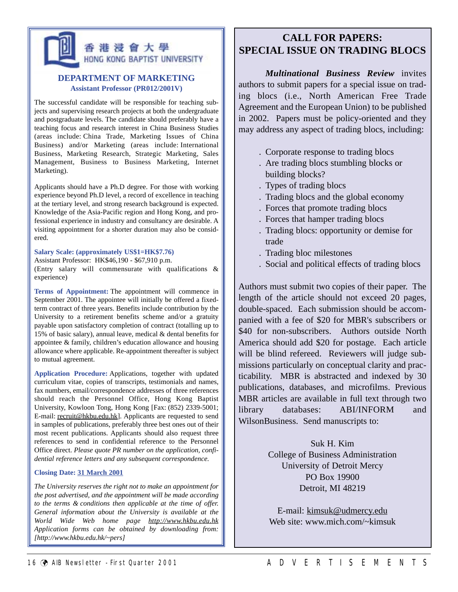## 香港浸會大學 HONG KONG BAPTIST UNIVERSITY

#### **DEPARTMENT OF MARKETING Assistant Professor (PR012/2001V)**

The successful candidate will be responsible for teaching subjects and supervising research projects at both the undergraduate and postgraduate levels. The candidate should preferably have a teaching focus and research interest in China Business Studies (areas include: China Trade, Marketing Issues of China Business) and/or Marketing (areas include: International Business, Marketing Research, Strategic Marketing, Sales Management, Business to Business Marketing, Internet Marketing).

Applicants should have a Ph.D degree. For those with working experience beyond Ph.D level, a record of excellence in teaching at the tertiary level, and strong research background is expected. Knowledge of the Asia-Pacific region and Hong Kong, and professional experience in industry and consultancy are desirable. A visiting appointment for a shorter duration may also be considered.

#### **Salary Scale: (approximately US\$1=HK\$7.76)**

Assistant Professor: HK\$46,190 - \$67,910 p.m. (Entry salary will commensurate with qualifications & experience)

**Terms of Appointment:** The appointment will commence in September 2001. The appointee will initially be offered a fixedterm contract of three years. Benefits include contribution by the University to a retirement benefits scheme and/or a gratuity payable upon satisfactory completion of contract (totalling up to 15% of basic salary), annual leave, medical & dental benefits for appointee & family, children's education allowance and housing allowance where applicable. Re-appointment thereafter is subject to mutual agreement.

**Application Procedure:** Applications, together with updated curriculum vitae, copies of transcripts, testimonials and names, fax numbers, email/correspondence addresses of three references should reach the Personnel Office, Hong Kong Baptist University, Kowloon Tong, Hong Kong [Fax: (852) 2339-5001; E-mail: recruit@hkbu.edu.hk]. Applicants are requested to send in samples of publications, preferably three best ones out of their most recent publications. Applicants should also request three references to send in confidential reference to the Personnel Office direct. *Please quote PR number on the application, confidential reference letters and any subsequent correspondence.* 

#### **Closing Date: 31 March 2001**

*The University reserves the right not to make an appointment for the post advertised, and the appointment will be made according to the terms & conditions then applicable at the time of offer. General information about the University is available at the World Wide Web home page http://www.hkbu.edu.hk Application forms can be obtained by downloading from: [http://www.hkbu.edu.hk/~pers]*

#### **CALL FOR PAPERS: SPECIAL ISSUE ON TRADING BLOCS**

*Multinational Business Review* invites authors to submit papers for a special issue on trading blocs (i.e., North American Free Trade Agreement and the European Union) to be published in 2002. Papers must be policy-oriented and they may address any aspect of trading blocs, including:

- . Corporate response to trading blocs
- . Are trading blocs stumbling blocks or building blocks?
- . Types of trading blocs
- . Trading blocs and the global economy
- . Forces that promote trading blocs
- . Forces that hamper trading blocs
- . Trading blocs: opportunity or demise for trade
- . Trading bloc milestones
- . Social and political effects of trading blocs

Authors must submit two copies of their paper. The length of the article should not exceed 20 pages, double-spaced. Each submission should be accompanied with a fee of \$20 for MBR's subscribers or \$40 for non-subscribers. Authors outside North America should add \$20 for postage. Each article will be blind refereed. Reviewers will judge submissions particularly on conceptual clarity and practicability. MBR is abstracted and indexed by 30 publications, databases, and microfilms. Previous MBR articles are available in full text through two library databases: ABI/INFORM and WilsonBusiness. Send manuscripts to:

> Suk H. Kim College of Business Administration University of Detroit Mercy PO Box 19900 Detroit, MI 48219

E-mail: kimsuk@udmercy.edu Web site: www.mich.com/~kimsuk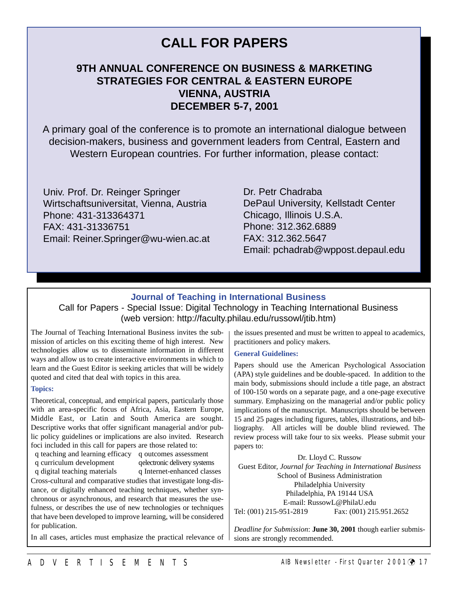## **CALL FOR PAPERS**

#### **9TH ANNUAL CONFERENCE ON BUSINESS & MARKETING STRATEGIES FOR CENTRAL & EASTERN EUROPE VIENNA, AUSTRIA DECEMBER 5-7, 2001**

A primary goal of the conference is to promote an international dialogue between decision-makers, business and government leaders from Central, Eastern and Western European countries. For further information, please contact:

Univ. Prof. Dr. Reinger Springer Wirtschaftsuniversitat, Vienna, Austria Phone: 431-313364371 FAX: 431-31336751 Email: Reiner.Springer@wu-wien.ac.at Dr. Petr Chadraba DePaul University, Kellstadt Center Chicago, Illinois U.S.A. Phone: 312.362.6889 FAX: 312.362.5647 Email: pchadrab@wppost.depaul.edu

#### **Journal of Teaching in International Business**

#### Call for Papers - Special Issue: Digital Technology in Teaching International Business (web version: http://faculty.philau.edu/russowl/jtib.htm)

The Journal of Teaching International Business invites the submission of articles on this exciting theme of high interest. New technologies allow us to disseminate information in different ways and allow us to create interactive environments in which to learn and the Guest Editor is seeking articles that will be widely quoted and cited that deal with topics in this area.

#### **Topics:**

Theoretical, conceptual, and empirical papers, particularly those with an area-specific focus of Africa, Asia, Eastern Europe, Middle East, or Latin and South America are sought. Descriptive works that offer significant managerial and/or public policy guidelines or implications are also invited. Research foci included in this call for papers are those related to:

q teaching and learning efficacy q outcomes assessment

q curriculum development qelectronic delivery systems

q digital teaching materials q Internet-enhanced classes Cross-cultural and comparative studies that investigate long-distance, or digitally enhanced teaching techniques, whether synchronous or asynchronous, and research that measures the usefulness, or describes the use of new technologies or techniques that have been developed to improve learning, will be considered for publication.

In all cases, articles must emphasize the practical relevance of

the issues presented and must be written to appeal to academics, practitioners and policy makers.

#### **General Guidelines:**

Papers should use the American Psychological Association (APA) style guidelines and be double-spaced. In addition to the main body, submissions should include a title page, an abstract of 100-150 words on a separate page, and a one-page executive summary. Emphasizing on the managerial and/or public policy implications of the manuscript. Manuscripts should be between 15 and 25 pages including figures, tables, illustrations, and bibliography. All articles will be double blind reviewed. The review process will take four to six weeks. Please submit your papers to:

Dr. Lloyd C. Russow Guest Editor, *Journal for Teaching in International Business* School of Business Administration Philadelphia University Philadelphia, PA 19144 USA E-mail: RussowL@PhilaU.edu Tel: (001) 215-951-2819 Fax: (001) 215.951.2652

*Deadline for Submission*: **June 30, 2001** though earlier submissions are strongly recommended.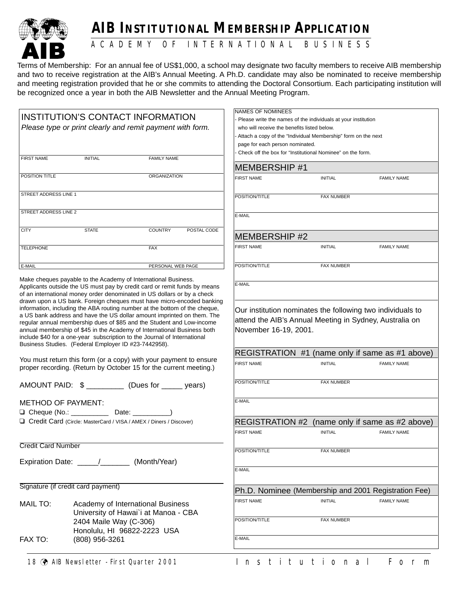

# **AIB INSTITUTIONAL MEMBERSHIP APPLICATION**

A C A D E M Y O F I N T E R N A T I O N A L B U S I N E S S

Terms of Membership: For an annual fee of US\$1,000, a school may designate two faculty members to receive AIB membership and two to receive registration at the AIB's Annual Meeting. A Ph.D. candidate may also be nominated to receive membership and meeting registration provided that he or she commits to attending the Doctoral Consortium. Each participating institution will be recognized once a year in both the AIB Newsletter and the Annual Meeting Program.

|                                                           |                                                                                                                                                                                                                                                                                                                                                                                                                                              |                                                                           |                                                               | <b>NAMES OF NOMINEES</b>                                      |                                                                                                                       |                                                 |
|-----------------------------------------------------------|----------------------------------------------------------------------------------------------------------------------------------------------------------------------------------------------------------------------------------------------------------------------------------------------------------------------------------------------------------------------------------------------------------------------------------------------|---------------------------------------------------------------------------|---------------------------------------------------------------|---------------------------------------------------------------|-----------------------------------------------------------------------------------------------------------------------|-------------------------------------------------|
| <b>INSTITUTION'S CONTACT INFORMATION</b>                  |                                                                                                                                                                                                                                                                                                                                                                                                                                              |                                                                           | Please write the names of the individuals at your institution |                                                               |                                                                                                                       |                                                 |
| Please type or print clearly and remit payment with form. |                                                                                                                                                                                                                                                                                                                                                                                                                                              |                                                                           | who will receive the benefits listed below.                   |                                                               |                                                                                                                       |                                                 |
|                                                           |                                                                                                                                                                                                                                                                                                                                                                                                                                              |                                                                           |                                                               | Attach a copy of the "Individual Membership" form on the next |                                                                                                                       |                                                 |
|                                                           |                                                                                                                                                                                                                                                                                                                                                                                                                                              |                                                                           | page for each person nominated.                               |                                                               |                                                                                                                       |                                                 |
| <b>FIRST NAME</b>                                         | <b>INITIAL</b>                                                                                                                                                                                                                                                                                                                                                                                                                               | <b>FAMILY NAME</b>                                                        |                                                               |                                                               | Check off the box for "Institutional Nominee" on the form.                                                            |                                                 |
|                                                           |                                                                                                                                                                                                                                                                                                                                                                                                                                              |                                                                           |                                                               | <b>MEMBERSHIP #1</b>                                          |                                                                                                                       |                                                 |
| POSITION TITLE                                            |                                                                                                                                                                                                                                                                                                                                                                                                                                              | ORGANIZATION                                                              |                                                               | <b>FIRST NAME</b>                                             | <b>INITIAL</b>                                                                                                        | <b>FAMILY NAME</b>                              |
| STREET ADDRESS LINE 1                                     |                                                                                                                                                                                                                                                                                                                                                                                                                                              |                                                                           |                                                               | POSITION/TITLE                                                | <b>FAX NUMBER</b>                                                                                                     |                                                 |
| STREET ADDRESS LINE 2                                     |                                                                                                                                                                                                                                                                                                                                                                                                                                              |                                                                           |                                                               | E-MAIL                                                        |                                                                                                                       |                                                 |
| <b>CITY</b>                                               | <b>STATE</b>                                                                                                                                                                                                                                                                                                                                                                                                                                 | <b>COUNTRY</b>                                                            | POSTAL CODE                                                   |                                                               |                                                                                                                       |                                                 |
|                                                           |                                                                                                                                                                                                                                                                                                                                                                                                                                              |                                                                           |                                                               | <b>MEMBERSHIP #2</b>                                          |                                                                                                                       |                                                 |
| <b>TELEPHONE</b>                                          |                                                                                                                                                                                                                                                                                                                                                                                                                                              | <b>FAX</b>                                                                |                                                               | <b>FIRST NAME</b>                                             | <b>INITIAL</b>                                                                                                        | <b>FAMILY NAME</b>                              |
| E-MAIL                                                    |                                                                                                                                                                                                                                                                                                                                                                                                                                              | PERSONAL WEB PAGE                                                         |                                                               | POSITION/TITLE                                                | FAX NUMBER                                                                                                            |                                                 |
|                                                           | Make cheques payable to the Academy of International Business.<br>Applicants outside the US must pay by credit card or remit funds by means<br>of an international money order denominated in US dollars or by a check<br>drawn upon a US bank. Foreign cheques must have micro-encoded banking                                                                                                                                              |                                                                           |                                                               | E-MAIL                                                        |                                                                                                                       |                                                 |
|                                                           | information, including the ABA routing number at the bottom of the cheque,<br>a US bank address and have the US dollar amount imprinted on them. The<br>regular annual membership dues of \$85 and the Student and Low-income<br>annual membership of \$45 in the Academy of International Business both<br>include \$40 for a one-year subscription to the Journal of International<br>Business Studies. (Federal Employer ID #23-7442958). |                                                                           |                                                               | November 16-19, 2001.                                         | Our institution nominates the following two individuals to<br>attend the AIB's Annual Meeting in Sydney, Australia on |                                                 |
|                                                           |                                                                                                                                                                                                                                                                                                                                                                                                                                              |                                                                           |                                                               |                                                               |                                                                                                                       | REGISTRATION #1 (name only if same as #1 above) |
|                                                           | You must return this form (or a copy) with your payment to ensure<br>proper recording. (Return by October 15 for the current meeting.)                                                                                                                                                                                                                                                                                                       |                                                                           |                                                               | <b>FIRST NAME</b>                                             | <b>INITIAL</b>                                                                                                        | <b>FAMILY NAME</b>                              |
|                                                           | AMOUNT PAID: \$ ____________ (Dues for ______ years)                                                                                                                                                                                                                                                                                                                                                                                         |                                                                           |                                                               | POSITION/TITLE                                                | FAX NUMBER                                                                                                            |                                                 |
| <b>METHOD OF PAYMENT:</b>                                 |                                                                                                                                                                                                                                                                                                                                                                                                                                              |                                                                           |                                                               | E-MAIL                                                        |                                                                                                                       |                                                 |
|                                                           |                                                                                                                                                                                                                                                                                                                                                                                                                                              |                                                                           |                                                               |                                                               |                                                                                                                       |                                                 |
|                                                           | Credit Card (Circle: MasterCard / VISA / AMEX / Diners / Discover)                                                                                                                                                                                                                                                                                                                                                                           |                                                                           |                                                               |                                                               |                                                                                                                       | REGISTRATION #2 (name only if same as #2 above) |
|                                                           |                                                                                                                                                                                                                                                                                                                                                                                                                                              |                                                                           |                                                               | <b>FIRST NAME</b>                                             | <b>INITIAL</b>                                                                                                        | <b>FAMILY NAME</b>                              |
| <b>Credit Card Number</b>                                 |                                                                                                                                                                                                                                                                                                                                                                                                                                              |                                                                           |                                                               | POSITION/TITLE                                                | <b>FAX NUMBER</b>                                                                                                     |                                                 |
|                                                           | Expiration Date: _____/_______                                                                                                                                                                                                                                                                                                                                                                                                               | (Month/Year)                                                              |                                                               |                                                               |                                                                                                                       |                                                 |
|                                                           |                                                                                                                                                                                                                                                                                                                                                                                                                                              |                                                                           |                                                               | E-MAIL                                                        |                                                                                                                       |                                                 |
|                                                           | Signature (if credit card payment)                                                                                                                                                                                                                                                                                                                                                                                                           |                                                                           |                                                               |                                                               | Ph.D. Nominee (Membership and 2001 Registration Fee)                                                                  |                                                 |
| MAIL TO:                                                  |                                                                                                                                                                                                                                                                                                                                                                                                                                              | Academy of International Business<br>University of Hawai'i at Manoa - CBA |                                                               | <b>FIRST NAME</b>                                             | <b>INITIAL</b>                                                                                                        | <b>FAMILY NAME</b>                              |
|                                                           | 2404 Maile Way (C-306)                                                                                                                                                                                                                                                                                                                                                                                                                       | Honolulu, HI 96822-2223 USA                                               |                                                               | POSITION/TITLE                                                | <b>FAX NUMBER</b>                                                                                                     |                                                 |
| FAX TO:                                                   | (808) 956-3261                                                                                                                                                                                                                                                                                                                                                                                                                               |                                                                           |                                                               | E-MAIL                                                        |                                                                                                                       |                                                 |
|                                                           |                                                                                                                                                                                                                                                                                                                                                                                                                                              |                                                                           |                                                               |                                                               |                                                                                                                       |                                                 |
|                                                           |                                                                                                                                                                                                                                                                                                                                                                                                                                              |                                                                           |                                                               |                                                               |                                                                                                                       |                                                 |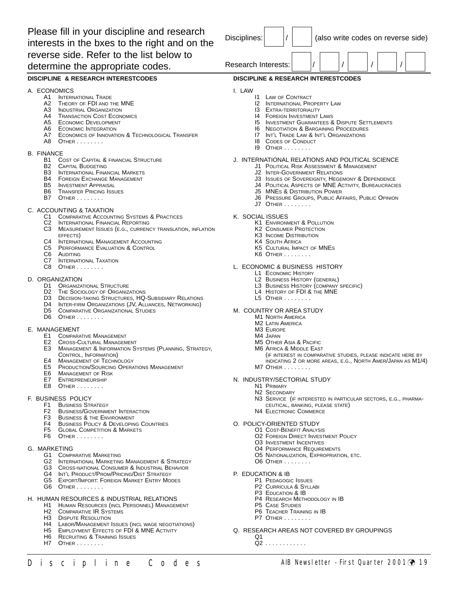Please fill in your discipline and research interests in the bxes to the right and on the reverse side. Refer to the list below to determine the appropriate codes.

Disciplines:  $\vert / \vert$   $\vert$  (also write codes on reverse side) Research Interests:

#### **DISCIPLINE & RESEARCH INTERESTCODES**

#### A. ECONOMICS

- A1 INTERNATIONAL TRADE<br>A2 THEORY OF FDI AND T
- THEORY OF FDI AND THE MNE
- A3 INDUSTRIAL ORGANIZATION
- A4 TRANSACTION COST ECONOMICS<br>A5 ECONOMIC DEVELOPMENT
- **ECONOMIC DEVELOPMENT**
- A6 ECONOMIC INTEGRATION
- A7 ECONOMICS OF INNOVATION & TECHNOLOGICAL TRANSFER
- A8 OTHER . . . . . . . .

#### B. FINANCE

- B1 COST OF CAPITAL & FINANCIAL STRUCTURE
- **B2** CAPITAL BUDGETING
- **B3** INTERNATIONAL FINANCIAL MARKETS
- B4 FOREIGN EXCHANGE MANAGEMENT
- **B5** INVESTMENT APPRAISAL<br>**B6** TRANSEER PRICING ISSE
- **TRANSFER PRICING ISSUES**
- **B7** OTHER . . . . . . . .

#### C. ACCOUNTING & TAXATION

- C1 COMPARATIVE ACCOUNTING SYSTEMS & PRACTICES
- C2 INTERNATIONAL FINANCIAL REPORTING<br>C3 MEASUREMENT ISSUES (E.G., CURREN)
- MEASUREMENT ISSUES (E.G., CURRENCY TRANSLATION, INFLATION EFFECTS)
- C4 INTERNATIONAL MANAGEMENT ACCOUNTING
- C5 PERFORMANCE EVALUATION & CONTROL
- C6 AUDITING
- C7 INTERNATIONAL TAXATION
- C8 OTHER . . . . . . . .

#### D. ORGANIZATION

- D1 ORGANIZATIONAL STRUCTURE
- D2 THE SOCIOLOGY OF ORGANIZATIONS
- D3 DECISION-TAKING STRUCTURES, HQ-SUBSIDIARY RELATIONS
- D4 INTER-FIRM ORGANIZATIONS (JV, ALLIANCES, NETWORKING)
- D5 COMPARATIVE ORGANIZATIONAL STUDIES
- **D6** OTHER . . . . . . . .

#### E. MANAGEMENT

- E1 COMPARATIVE MANAGEMENT
- E2 CROSS-CULTURAL MANAGEMENT
- E3 MANAGEMENT & INFORMATION SYSTEMS (PLANNING, STRATEGY, CONTROL, INFORMATION)
- E4 MANAGEMENT OF TECHNOLOGY
- E5 PRODUCTION/SOURCING OPERATIONS MANAGEMENT
- E6 MANAGEMENT OF RISK
- E7 ENTREPRENEURSHIP
- E8 OTHER . . . . . . .

#### F. BUSINESS POLICY

- F1 BUSINESS STRATEGY
- F2 BUSINESS/GOVERNMENT INTERACTION
- F3 BUSINESS & THE ENVIRONMENT
- F4 BUSINESS POLICY & DEVELOPING COUNTRIES
- F5 GLOBAL COMPETITION & MARKETS
- **F6** OTHER . . . . . . . .
- G. MARKETING
	- G1 COMPARATIVE MARKETING
	- G2 INTERNATIONAL MARKETING MANAGEMENT & STRATEGY
	- G3 CROSS-NATIONAL CONSUMER & INDUSTRIAL BEHAVIOR
	- G4 INT'L PRODUCT/PROM/PRICING/DIST STRATEGY
	- G5 EXPORT/IMPORT: FOREIGN MARKET ENTRY MODES
	- **G6 OTHER . . . . . . .**

#### H. HUMAN RESOURCES & INDUSTRIAL RELATIONS

- HUMAN RESOURCES (INCL PERSONNEL) MANAGEMENT
- H2 COMPARATIVE IR SYSTEMS
- H3 DISPUTE RESOLUTION
- H4 LABOR/MANAGEMENT ISSUES (INCL WAGE NEGOTIATIONS)
- H5 EMPLOYMENT EFFECTS OF FDI & MNE ACTIVITY
- H6 RECRUITING & TRAINING ISSUES
- OTHER . . . . . . . .

#### **DISCIPLINE & RESEARCH INTERESTCODES** I. LAW I1 LAW OF CONTRACT **I2 INTERNATIONAL PROPERTY LAW**<br>**I3 EXTRA-TERRITORIALITY** EXTRA-TERRITORIALITY 14 FOREIGN INVESTMENT LAWS **I5 INVESTMENT GUARANTEES & DISPUTE SETTLEMENTS**<br>**I6 NEGOTIATION & BARGAINING PROCEDURES I6 NEGOTIATION & BARGAINING PROCEDURES**<br>17 INT'L TRADE LAW & INT'L OPGANIZATIONS INT'L TRADE LAW & INT'L ORGANIZATIONS I8 CODES OF CONDUCT I9 OTHER . . . . . . . . J. INTERNATIONAL RELATIONS AND POLITICAL SCIENCE **J1 POLITICAL RISK ASSESSMENT & MANAGEMENT** J2 INTER-GOVERNMENT RELATIONS J3 ISSUES OF SOVEREIGNTY, HEGEMONY & DEPENDENCE **J4 POLITICAL ASPECTS OF MNE ACTIVITY, BUREAUCRACIES**

- J5 MNES & DISTRIBUTION POWER
- J6 PRESSURE GROUPS, PUBLIC AFFAIRS, PUBLIC OPINION
- J7 OTHER . . . . . . . .
- K. SOCIAL ISSUES
	- K1 ENVIRONMENT & POLLUTION
	- **K2 CONSUMER PROTECTION**
	- K3 INCOME DISTRIBUTION
	- **K4 SOUTH AFRICA**
	- K5 CULTURAL IMPACT OF MNES
	- K6 OTHER . . . . . . . .

#### L. ECONOMIC & BUSINESS HISTORY

- L1 ECONOMIC HISTORY
- L2 BUSINESS HISTORY (GENERAL)
- L3 BUSINESS HISTORY (COMPANY SPECIFIC)
- L4 HISTORY OF FDI & THE MNE
- L5 OTHER . . . . . . . .
- M. COUNTRY OR AREA STUDY
	- **M1 NORTH AMERICA**
	- M2 LATIN AMERICA
	- M3 EUROPE
	- M4 JAPAN
	- M5 OTHER ASIA & PACIFIC
	- M6 AFRICA & MIDDLE EAST
		- (IF INTEREST IN COMPARATIVE STUDIES, PLEASE INDICATE HERE BY
			- INDICATING 2 OR MORE AREAS, E.G., NORTH AMER/JAPAN AS M1/4)
	- **M7 OTHER . . . . . . . .**
- N. INDUSTRY/SECTORIAL STUDY
	- N1 PRIMARY

D i s c i p l i n e C o d e s AIB Newsletter - First Quarter 2001<sup>1</sup> 19

N2 SECONDARY

O. POLICY-ORIENTED STUDY O1 COST-BENEFIT ANALYSIS

- N3 SERVICE (IF INTERESTED IN PARTICULAR SECTORS, E.G., PHARMA-CEUTICAL, BANKING, PLEASE STATE)
- N4 ELECTRONIC COMMERCE

O3 INVESTMENT INCENTIVES O4 PERFORMANCE REQUIREMENTS O5 NATIONALIZATION, EXPROPRIATION, ETC.

O6 OTHER . . . . . . . .

P1 PEDAGOGIC ISSUES P2 CURRICULA & SYLLABI P3 EDUCATION & IB

P5 CASE STUDIES P6 TEACHER TRAINING IN IB **P7 OTHER . . . . . . . .** 

Q2 . . . . . . . . . . . .

P. EDUCATION & IB

Q1

**O2 FOREIGN DIRECT INVESTMENT POLICY** 

P4 RESEARCH METHODOLOGY IN IB

Q. RESEARCH AREAS NOT COVERED BY GROUPINGS